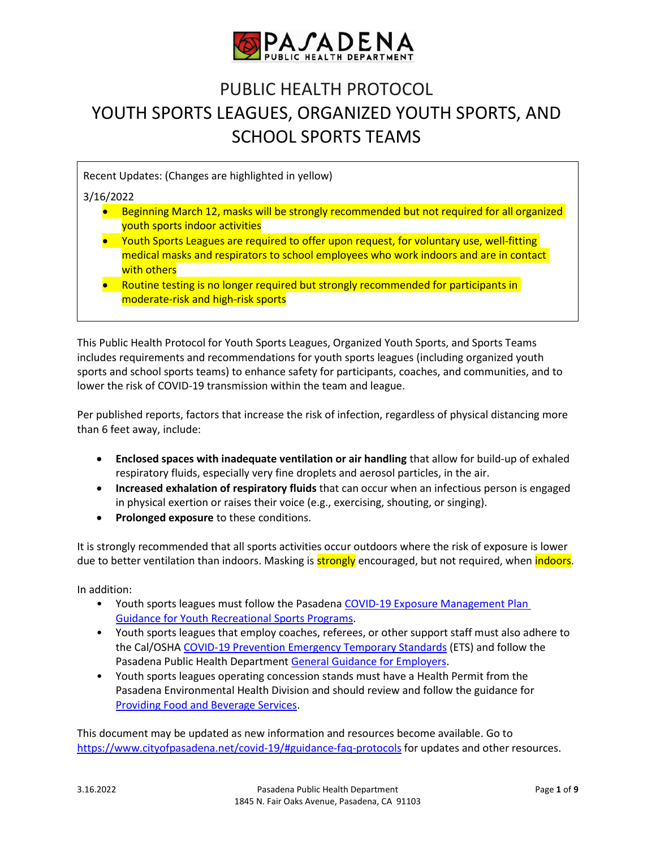

# PUBLIC HEALTH PROTOCOL YOUTH SPORTS LEAGUES, ORGANIZED YOUTH SPORTS, AND SCHOOL SPORTS TEAMS

Recent Updates: (Changes are highlighted in yellow)

# 3/16/2022

- Beginning March 12, masks will be strongly recommended but not required for all organized youth sports indoor activities
- Youth Sports Leagues are required to offer upon request, for voluntary use, well-fitting medical masks and respirators to school employees who work indoors and are in contact with others
- Routine testing is no longer required but strongly recommended for participants in moderate-risk and high-risk sports

This Public Health Protocol for Youth Sports Leagues, Organized Youth Sports, and Sports Teams includes requirements and recommendations for youth sports leagues (including organized youth sports and school sports teams) to enhance safety for participants, coaches, and communities, and to lower the risk of COVID-19 transmission within the team and league.

Per published reports, factors that increase the risk of infection, regardless of physical distancing more than 6 feet away, include:

- **Enclosed spaces with inadequate ventilation or air handling** that allow for build-up of exhaled respiratory fluids, especially very fine droplets and aerosol particles, in the air.
- **Increased exhalation of respiratory fluids** that can occur when an infectious person is engaged in physical exertion or raises their voice (e.g., exercising, shouting, or singing).
- **•** Prolonged exposure to these conditions.

It is strongly recommended that all sports activities occur outdoors where the risk of exposure is lower due to better ventilation than indoors. Masking is **strongly** encouraged, but not required, when *indoors*.

In addition:

- Youth sports leagues must follow the Pasaden[a COVID-19 Exposure Management Plan](https://www.cityofpasadena.net/public-health/wp-content/uploads/sites/32/Exposure-Management-Plan-Youth-Sports.pdf)  [Guidance for Youth Recreational Sports Programs.](https://www.cityofpasadena.net/public-health/wp-content/uploads/sites/32/Exposure-Management-Plan-Youth-Sports.pdf)
- Youth sports leagues that employ coaches, referees, or other support staff must also adhere to the Cal/OSHA [COVID-19 Prevention Emergency Temporary Standards](https://www.dir.ca.gov/dosh/coronavirus/ETS.html) (ETS) and follow the Pasadena Public Health Department [General Guidance for Employers.](https://www.cityofpasadena.net/covid-19/reopening-businesses/#general-guidance)
- Youth sports leagues operating concession stands must have a Health Permit from the Pasadena Environmental Health Division and should review and follow the guidance for [Providing Food and Beverage Services.](https://www.cityofpasadena.net/covid-19/reopening-businesses/#food-and-beverage)

This document may be updated as new information and resources become available. Go to <https://www.cityofpasadena.net/covid-19/#guidance-faq-protocols> for updates and other resources.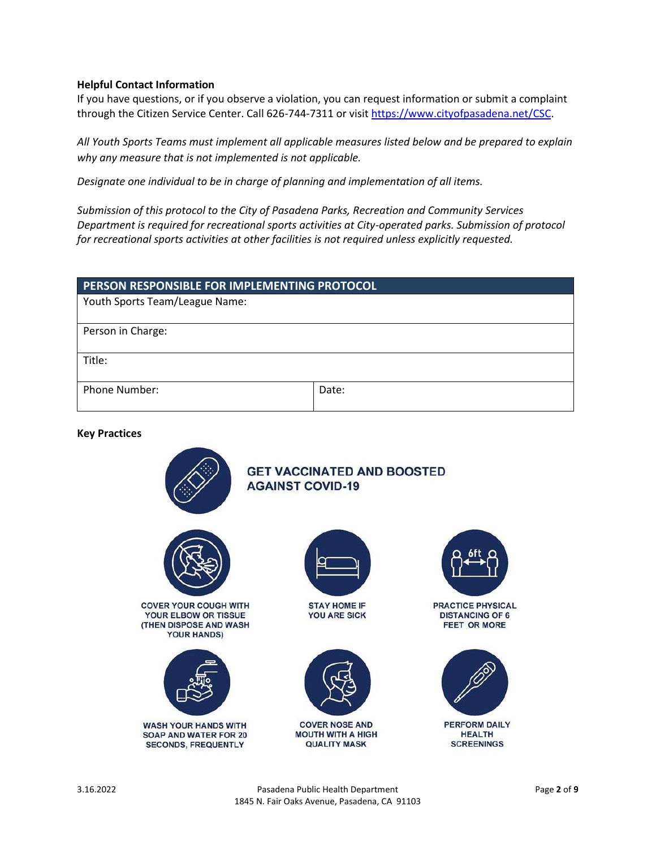## **Helpful Contact Information**

If you have questions, or if you observe a violation, you can request information or submit a complaint through the Citizen Service Center. Call 626-744-7311 or visi[t https://www.cityofpasadena.net/CSC.](https://www.cityofpasadena.net/CSC)

*All Youth Sports Teams must implement all applicable measures listed below and be prepared to explain why any measure that is not implemented is not applicable.* 

*Designate one individual to be in charge of planning and implementation of all items.* 

*Submission of this protocol to the City of Pasadena Parks, Recreation and Community Services Department is required for recreational sports activities at City-operated parks. Submission of protocol for recreational sports activities at other facilities is not required unless explicitly requested.*

| PERSON RESPONSIBLE FOR IMPLEMENTING PROTOCOL |       |  |
|----------------------------------------------|-------|--|
| Youth Sports Team/League Name:               |       |  |
| Person in Charge:                            |       |  |
| Title:                                       |       |  |
| Phone Number:                                | Date: |  |

**Key Practices**



**COVER YOUR COUGH WITH** YOUR ELBOW OR TISSUE (THEN DISPOSE AND WASH **YOUR HANDS)** 



**WASH YOUR HANDS WITH** SOAP AND WATER FOR 20 **SECONDS, FREQUENTLY** 



**GET VACCINATED AND BOOSTED** 

**AGAINST COVID-19** 

**STAY HOME IF YOU ARE SICK** 



**COVER NOSE AND MOUTH WITH A HIGH QUALITY MASK** 



PRACTICE PHYSICAL **DISTANCING OF 6 FEET OR MORE** 



PERFORM DAILY **HEALTH SCREENINGS**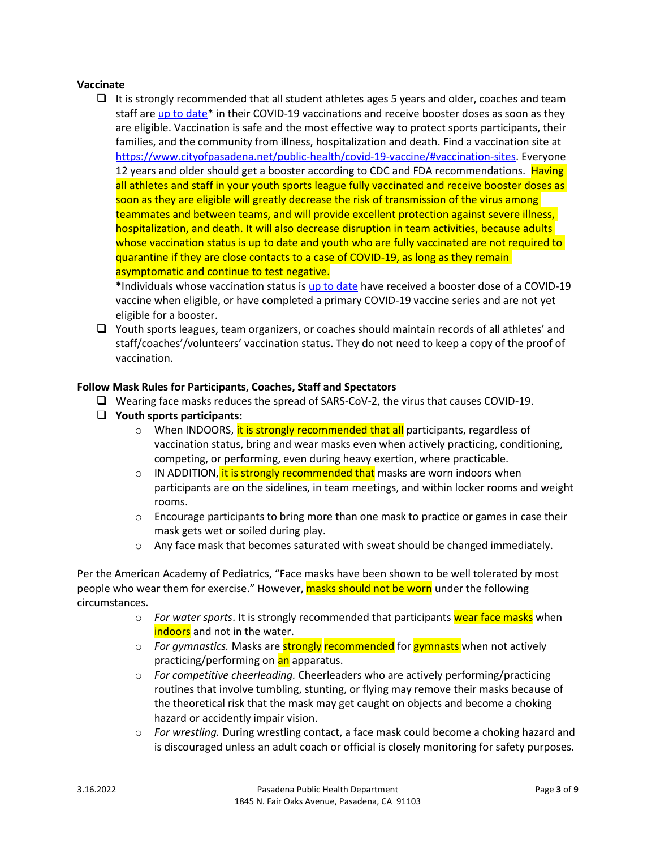# **Vaccinate**

 $\Box$  It is strongly recommended that all student athletes ages 5 years and older, coaches and team staff are up [to date\\*](https://www.cdc.gov/coronavirus/2019-ncov/vaccines/stay-up-to-date.html) in their COVID-19 vaccinations and receive booster doses as soon as they are eligible. Vaccination is safe and the most effective way to protect sports participants, their families, and the community from illness, hospitalization and death. Find a vaccination site at [https://www.cityofpasadena.net/public-health/covid-19-vaccine/#vaccination-sites.](https://www.cityofpasadena.net/public-health/covid-19-vaccine/#vaccination-sites) Everyone 12 years and older should get a booster according to CDC and FDA recommendations. Having all athletes and staff in your youth sports league fully vaccinated and receive booster doses as soon as they are eligible will greatly decrease the risk of transmission of the virus among teammates and between teams, and will provide excellent protection against severe illness, hospitalization, and death. It will also decrease disruption in team activities, because adults whose vaccination status is up to date and youth who are fully vaccinated are not required to quarantine if they are close contacts to a case of COVID-19, as long as they remain asymptomatic and continue to test negative.

\*Individuals whose vaccination status is [up to date](https://www.cdc.gov/coronavirus/2019-ncov/vaccines/stay-up-to-date.html) have received a booster dose of a COVID-19 vaccine when eligible, or have completed a primary COVID-19 vaccine series and are not yet eligible for a booster.

 $\Box$  Youth sports leagues, team organizers, or coaches should maintain records of all athletes' and staff/coaches'/volunteers' vaccination status. They do not need to keep a copy of the proof of vaccination.

# **Follow Mask Rules for Participants, Coaches, Staff and Spectators**

- Wearing face masks reduces the spread of SARS-CoV-2, the virus that causes COVID-19.
- **Youth sports participants:**
	- o When INDOORS, it is strongly recommended that all participants, regardless of vaccination status, bring and wear masks even when actively practicing, conditioning, competing, or performing, even during heavy exertion, where practicable.
	- $\circ$  IN ADDITION, it is strongly recommended that masks are worn indoors when participants are on the sidelines, in team meetings, and within locker rooms and weight rooms.
	- $\circ$  Encourage participants to bring more than one mask to practice or games in case their mask gets wet or soiled during play.
	- $\circ$  Any face mask that becomes saturated with sweat should be changed immediately.

Per the American Academy of Pediatrics, "Face masks have been shown to be well tolerated by most people who wear them for exercise." However, masks should not be worn under the following circumstances.

- o *For water sports*. It is strongly recommended that participants wear face masks when indoors and not in the water.
- o *For gymnastics.* Masks are strongly recommended for gymnasts when not actively practicing/performing on an apparatus.
- o *For competitive cheerleading.* Cheerleaders who are actively performing/practicing routines that involve tumbling, stunting, or flying may remove their masks because of the theoretical risk that the mask may get caught on objects and become a choking hazard or accidently impair vision.
- o *For wrestling.* During wrestling contact, a face mask could become a choking hazard and is discouraged unless an adult coach or official is closely monitoring for safety purposes.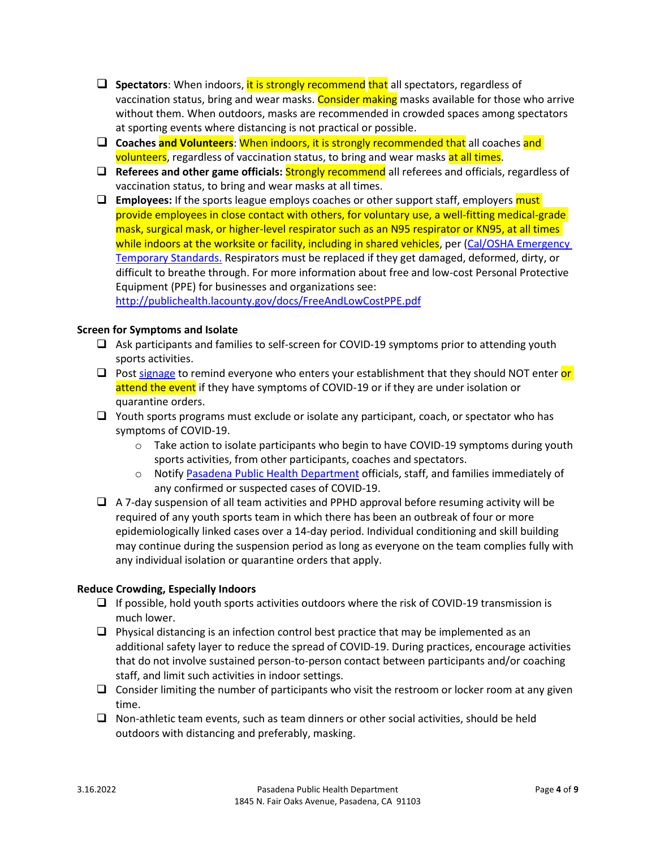- **Spectators**: When indoors, it is strongly recommend that all spectators, regardless of vaccination status, bring and wear masks. Consider making masks available for those who arrive without them. When outdoors, masks are recommended in crowded spaces among spectators at sporting events where distancing is not practical or possible.
- **Coaches and Volunteers**: When indoors, it is strongly recommended that all coaches and volunteers, regardless of vaccination status, to bring and wear masks at all times.
- **Referees and other game officials:** Strongly recommend all referees and officials, regardless of vaccination status, to bring and wear masks at all times.
- **Employees:** If the sports league employs coaches or other support staff, employers must provide employees in close contact with others, for voluntary use, a well-fitting medical-grade mask, surgical mask, or higher-level respirator such as an N95 respirator or KN95, at all times while indoors at the worksite or facility, including in shared vehicles, per (Cal/OSHA Emergency [Temporary Standards.](https://www.dir.ca.gov/dosh/dosh_publications/COVIDOnePageFS.pdf) Respirators must be replaced if they get damaged, deformed, dirty, or difficult to breathe through. For more information about free and low-cost Personal Protective Equipment (PPE) for businesses and organizations see:

<http://publichealth.lacounty.gov/docs/FreeAndLowCostPPE.pdf>

# **Screen for Symptoms and Isolate**

- $\Box$  Ask participants and families to self-screen for COVID-19 symptoms prior to attending youth sports activities.
- **Post [signage](http://publichealth.lacounty.gov/acd/ncorona2019/bestpractices/#signage) to remind everyone who enters your establishment that they should NOT enter or** attend the event if they have symptoms of COVID-19 or if they are under isolation or quarantine orders.
- $\Box$  Youth sports programs must exclude or isolate any participant, coach, or spectator who has symptoms of COVID-19.
	- $\circ$  Take action to isolate participants who begin to have COVID-19 symptoms during youth sports activities, from other participants, coaches and spectators.
	- o Notify [Pasadena Public Health Department](https://www.cityofpasadena.net/public-health/wp-content/uploads/sites/32/Exposure-Management-Plan-Youth-Sports.pdf) officials, staff, and families immediately of any confirmed or suspected cases of COVID-19.
- $\Box$  A 7-day suspension of all team activities and PPHD approval before resuming activity will be required of any youth sports team in which there has been an outbreak of four or more epidemiologically linked cases over a 14-day period. Individual conditioning and skill building may continue during the suspension period as long as everyone on the team complies fully with any individual isolation or quarantine orders that apply.

# **Reduce Crowding, Especially Indoors**

- $\Box$  If possible, hold youth sports activities outdoors where the risk of COVID-19 transmission is much lower.
- $\Box$  Physical distancing is an infection control best practice that may be implemented as an additional safety layer to reduce the spread of COVID-19. During practices, encourage activities that do not involve sustained person-to-person contact between participants and/or coaching staff, and limit such activities in indoor settings.
- $\Box$  Consider limiting the number of participants who visit the restroom or locker room at any given time.
- $\Box$  Non-athletic team events, such as team dinners or other social activities, should be held outdoors with distancing and preferably, masking.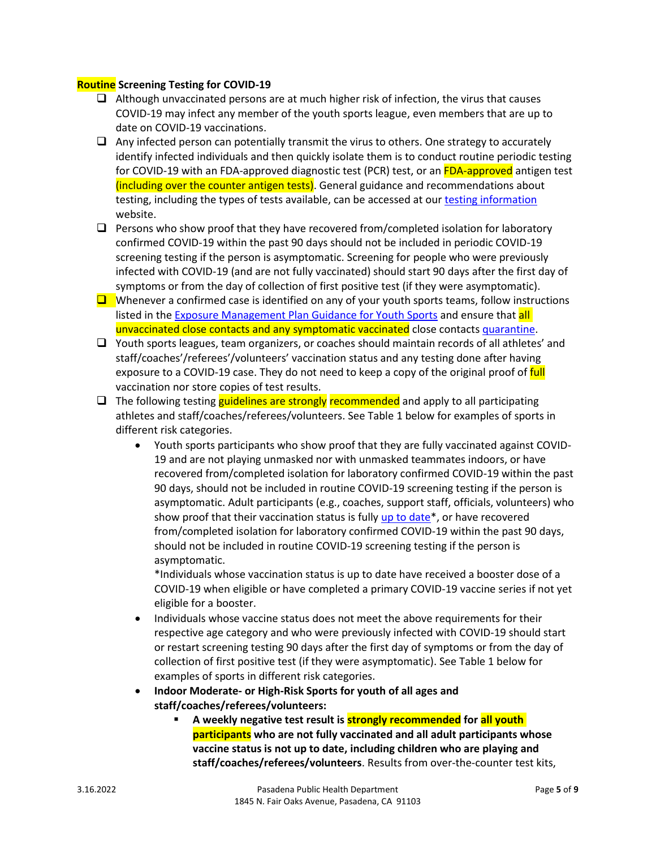# **Routine Screening Testing for COVID-19**

- $\Box$  Although unvaccinated persons are at much higher risk of infection, the virus that causes COVID-19 may infect any member of the youth sports league, even members that are up to date on COVID-19 vaccinations.
- $\Box$  Any infected person can potentially transmit the virus to others. One strategy to accurately identify infected individuals and then quickly isolate them is to conduct routine periodic testing for COVID-19 with an FDA-approved diagnostic test (PCR) test, or an FDA-approved antigen test (including over the counter antigen tests). General guidance and recommendations about testing, including the types of tests available, can be accessed at our [testing information](https://www.cityofpasadena.net/public-health/covid-19-testing-info/) website.
- $\Box$  Persons who show proof that they have recovered from/completed isolation for laboratory confirmed COVID-19 within the past 90 days should not be included in periodic COVID-19 screening testing if the person is asymptomatic. Screening for people who were previously infected with COVID-19 (and are not fully vaccinated) should start 90 days after the first day of symptoms or from the day of collection of first positive test (if they were asymptomatic).
- $\Box$  Whenever a confirmed case is identified on any of your youth sports teams, follow instructions listed in the [Exposure Management Plan Guidance for Youth Sports](https://www.cityofpasadena.net/public-health/wp-content/uploads/sites/32/Exposure-Management-Plan-Youth-Sports.pdf?v=1644859360613) and ensure that all unvaccinated close contacts and any symptomatic vaccinated close contacts [quarantine.](https://www.cityofpasadena.net/public-health/wp-content/uploads/sites/32/Pasadena-Health-Officer-Blanket-Quarantine-Order.pdf?v=1644859360612)
- $\Box$  Youth sports leagues, team organizers, or coaches should maintain records of all athletes' and staff/coaches'/referees'/volunteers' vaccination status and any testing done after having exposure to a COVID-19 case. They do not need to keep a copy of the original proof of full vaccination nor store copies of test results.
- $\Box$  The following testing guidelines are strongly recommended and apply to all participating athletes and staff/coaches/referees/volunteers. See Table 1 below for examples of sports in different risk categories.
	- Youth sports participants who show proof that they are fully vaccinated against COVID-19 and are not playing unmasked nor with unmasked teammates indoors, or have recovered from/completed isolation for laboratory confirmed COVID-19 within the past 90 days, should not be included in routine COVID-19 screening testing if the person is asymptomatic. Adult participants (e.g., coaches, support staff, officials, volunteers) who show proof that their vaccination status is fully [up to date\\*](https://www.cdc.gov/coronavirus/2019-ncov/vaccines/stay-up-to-date.html), or have recovered from/completed isolation for laboratory confirmed COVID-19 within the past 90 days, should not be included in routine COVID-19 screening testing if the person is asymptomatic.

\*Individuals whose vaccination status is up to date have received a booster dose of a COVID-19 when eligible or have completed a primary COVID-19 vaccine series if not yet eligible for a booster.

- Individuals whose vaccine status does not meet the above requirements for their respective age category and who were previously infected with COVID-19 should start or restart screening testing 90 days after the first day of symptoms or from the day of collection of first positive test (if they were asymptomatic). See Table 1 below for examples of sports in different risk categories.
- **Indoor Moderate- or High-Risk Sports for youth of all ages and staff/coaches/referees/volunteers:**
	- **A weekly negative test result is strongly recommended for all youth participants who are not fully vaccinated and all adult participants whose vaccine status is not up to date, including children who are playing and staff/coaches/referees/volunteers**. Results from over-the-counter test kits,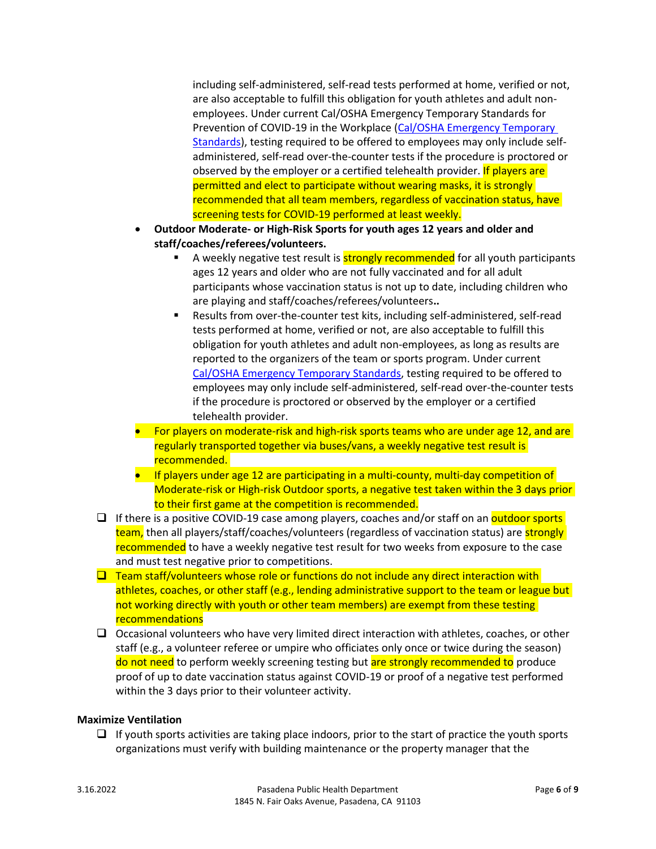including self-administered, self-read tests performed at home, verified or not, are also acceptable to fulfill this obligation for youth athletes and adult nonemployees. Under current Cal/OSHA Emergency Temporary Standards for Prevention of COVID-19 in the Workplace [\(Cal/OSHA Emergency Temporary](https://www.dir.ca.gov/dosh/dosh_publications/COVIDOnePageFS.pdf)  [Standards\)](https://www.dir.ca.gov/dosh/dosh_publications/COVIDOnePageFS.pdf), testing required to be offered to employees may only include selfadministered, self-read over-the-counter tests if the procedure is proctored or observed by the employer or a certified telehealth provider. If players are permitted and elect to participate without wearing masks, it is strongly recommended that all team members, regardless of vaccination status, have screening tests for COVID-19 performed at least weekly.

- **Outdoor Moderate- or High-Risk Sports for youth ages 12 years and older and staff/coaches/referees/volunteers.** 
	- A weekly negative test result is **strongly recommended** for all youth participants ages 12 years and older who are not fully vaccinated and for all adult participants whose vaccination status is not up to date, including children who are playing and staff/coaches/referees/volunteers**..**
	- Results from over-the-counter test kits, including self-administered, self-read tests performed at home, verified or not, are also acceptable to fulfill this obligation for youth athletes and adult non-employees, as long as results are reported to the organizers of the team or sports program. Under current [Cal/OSHA Emergency Temporary Standards,](https://www.dir.ca.gov/dosh/dosh_publications/COVIDOnePageFS.pdf) testing required to be offered to employees may only include self-administered, self-read over-the-counter tests if the procedure is proctored or observed by the employer or a certified telehealth provider.
- For players on moderate-risk and high-risk sports teams who are under age 12, and are regularly transported together via buses/vans, a weekly negative test result is recommended.
- If players under age 12 are participating in a multi-county, multi-day competition of Moderate-risk or High-risk Outdoor sports, a negative test taken within the 3 days prior to their first game at the competition is recommended.
- $\Box$  If there is a positive COVID-19 case among players, coaches and/or staff on an **outdoor sports** team, then all players/staff/coaches/volunteers (regardless of vaccination status) are **strongly** recommended to have a weekly negative test result for two weeks from exposure to the case and must test negative prior to competitions.
- $\Box$  Team staff/volunteers whose role or functions do not include any direct interaction with athletes, coaches, or other staff (e.g., lending administrative support to the team or league but not working directly with youth or other team members) are exempt from these testing recommendations
- $\Box$  Occasional volunteers who have very limited direct interaction with athletes, coaches, or other staff (e.g., a volunteer referee or umpire who officiates only once or twice during the season) do not need to perform weekly screening testing but are strongly recommended to produce proof of up to date vaccination status against COVID-19 or proof of a negative test performed within the 3 days prior to their volunteer activity.

# **Maximize Ventilation**

 $\Box$  If youth sports activities are taking place indoors, prior to the start of practice the youth sports organizations must verify with building maintenance or the property manager that the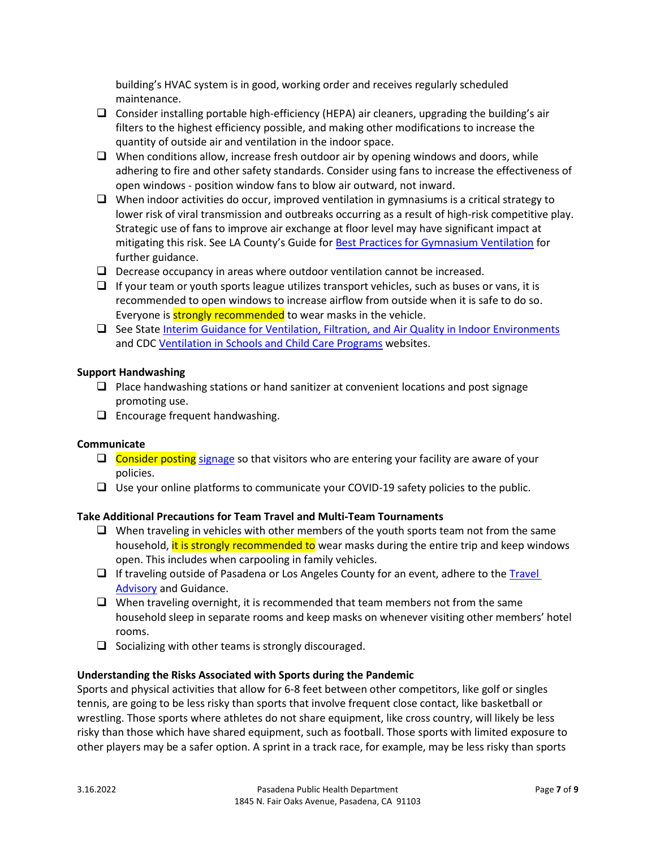building's HVAC system is in good, working order and receives regularly scheduled maintenance.

- $\Box$  Consider installing portable high-efficiency (HEPA) air cleaners, upgrading the building's air filters to the highest efficiency possible, and making other modifications to increase the quantity of outside air and ventilation in the indoor space.
- $\Box$  When conditions allow, increase fresh outdoor air by opening windows and doors, while adhering to fire and other safety standards. Consider using fans to increase the effectiveness of open windows - position window fans to blow air outward, not inward.
- $\Box$  When indoor activities do occur, improved ventilation in gymnasiums is a critical strategy to lower risk of viral transmission and outbreaks occurring as a result of high-risk competitive play. Strategic use of fans to improve air exchange at floor level may have significant impact at mitigating this risk. See LA County's Guide for [Best Practices for Gymnasium Ventilation](http://publichealth.lacounty.gov/acd/ncorona2019/docs/GymVentilationGuidance.pdf) for further guidance.
- $\Box$  Decrease occupancy in areas where outdoor ventilation cannot be increased.
- $\Box$  If your team or youth sports league utilizes transport vehicles, such as buses or vans, it is recommended to open windows to increase airflow from outside when it is safe to do so. Everyone is **strongly recommended** to wear masks in the vehicle.
- $\Box$  See State [Interim Guidance for Ventilation, Filtration, and Air Quality in Indoor Environments](https://www.cdph.ca.gov/Programs/CID/DCDC/Pages/COVID-19/Interim-Guidance-for-Ventilation-Filtration-and-Air-Quality-in-Indoor-Environments.aspx) and CDC [Ventilation in Schools and Child Care Programs](https://www.cdc.gov/coronavirus/2019-ncov/community/schools-childcare/ventilation.html) websites.

# **Support Handwashing**

- $\Box$  Place handwashing stations or hand sanitizer at convenient locations and post signage promoting use.
- $\Box$  Encourage frequent handwashing.

# **Communicate**

- $\Box$  Consider posting [signage](http://publichealth.lacounty.gov/acd/ncorona2019/bestpractices/#signage) so that visitors who are entering your facility are aware of your policies.
- $\Box$  Use your online platforms to communicate your COVID-19 safety policies to the public.

# **Take Additional Precautions for Team Travel and Multi-Team Tournaments**

- $\Box$  When traveling in vehicles with other members of the youth sports team not from the same household, it is strongly recommended to wear masks during the entire trip and keep windows open. This includes when carpooling in family vehicles.
- $\Box$  If traveling outside of Pasadena or Los Angeles County for an event, adhere to the Travel [Advisory](https://www.cdc.gov/coronavirus/2019-ncov/travelers/travel-during-covid19.html) and Guidance.
- $\Box$  When traveling overnight, it is recommended that team members not from the same household sleep in separate rooms and keep masks on whenever visiting other members' hotel rooms.
- $\Box$  Socializing with other teams is strongly discouraged.

# **Understanding the Risks Associated with Sports during the Pandemic**

Sports and physical activities that allow for 6-8 feet between other competitors, like golf or singles tennis, are going to be less risky than sports that involve frequent close contact, like basketball or wrestling. Those sports where athletes do not share equipment, like cross country, will likely be less risky than those which have shared equipment, such as football. Those sports with limited exposure to other players may be a safer option. A sprint in a track race, for example, may be less risky than sports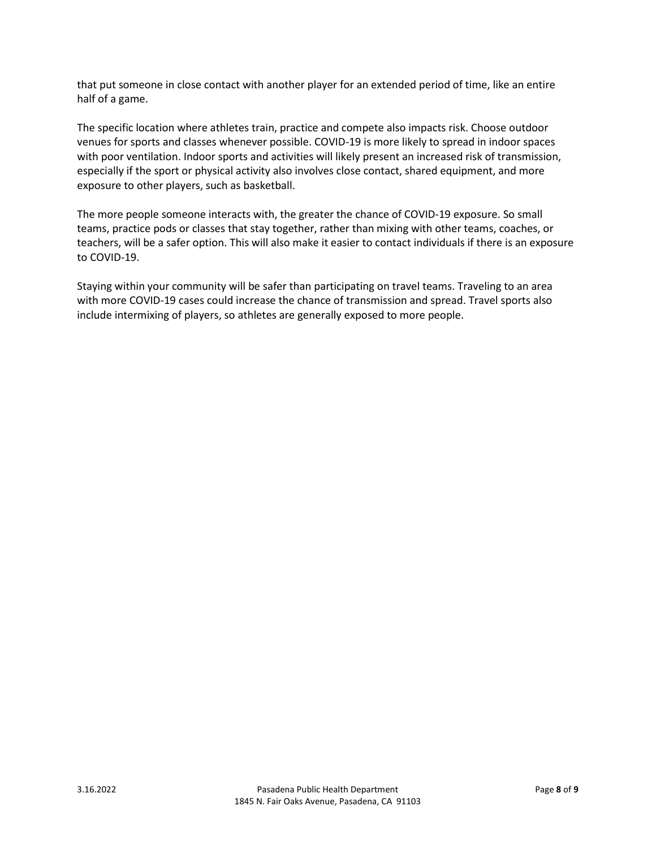that put someone in close contact with another player for an extended period of time, like an entire half of a game.

The specific location where athletes train, practice and compete also impacts risk. Choose outdoor venues for sports and classes whenever possible. COVID-19 is more likely to spread in indoor spaces with poor ventilation. Indoor sports and activities will likely present an increased risk of transmission, especially if the sport or physical activity also involves close contact, shared equipment, and more exposure to other players, such as basketball.

The more people someone interacts with, the greater the chance of COVID-19 exposure. So small teams, practice pods or classes that stay together, rather than mixing with other teams, coaches, or teachers, will be a safer option. This will also make it easier to contact individuals if there is an exposure to COVID-19.

Staying within your community will be safer than participating on travel teams. Traveling to an area with more COVID-19 cases could increase the chance of transmission and spread. Travel sports also include intermixing of players, so athletes are generally exposed to more people.